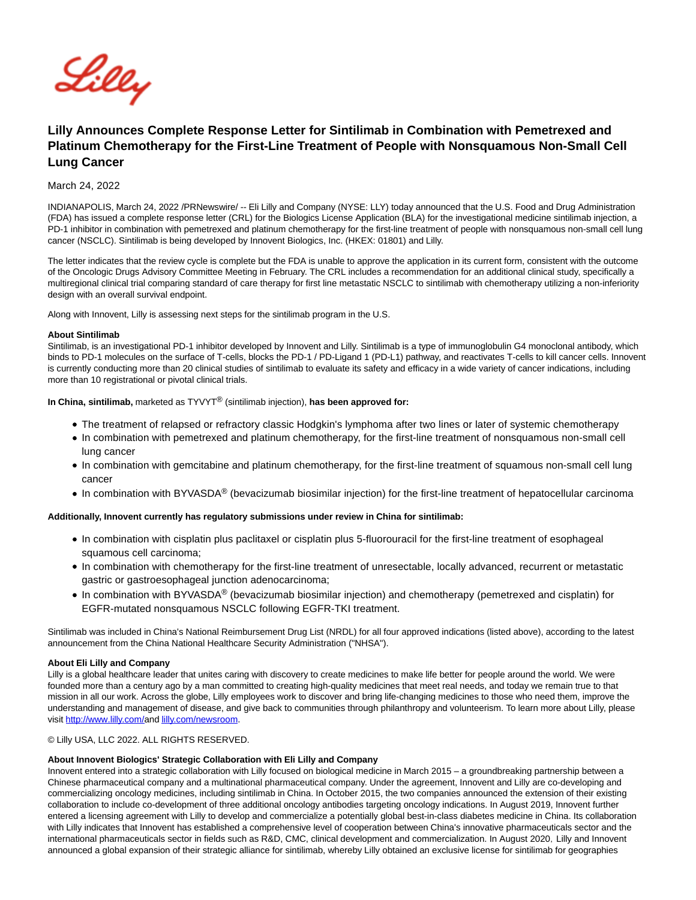

# **Lilly Announces Complete Response Letter for Sintilimab in Combination with Pemetrexed and Platinum Chemotherapy for the First-Line Treatment of People with Nonsquamous Non-Small Cell Lung Cancer**

## March 24, 2022

INDIANAPOLIS, March 24, 2022 /PRNewswire/ -- Eli Lilly and Company (NYSE: LLY) today announced that the U.S. Food and Drug Administration (FDA) has issued a complete response letter (CRL) for the Biologics License Application (BLA) for the investigational medicine sintilimab injection, a PD-1 inhibitor in combination with pemetrexed and platinum chemotherapy for the first-line treatment of people with nonsquamous non-small cell lung cancer (NSCLC). Sintilimab is being developed by Innovent Biologics, Inc. (HKEX: 01801) and Lilly.

The letter indicates that the review cycle is complete but the FDA is unable to approve the application in its current form, consistent with the outcome of the Oncologic Drugs Advisory Committee Meeting in February. The CRL includes a recommendation for an additional clinical study, specifically a multiregional clinical trial comparing standard of care therapy for first line metastatic NSCLC to sintilimab with chemotherapy utilizing a non-inferiority design with an overall survival endpoint.

Along with Innovent, Lilly is assessing next steps for the sintilimab program in the U.S.

#### **About Sintilimab**

Sintilimab, is an investigational PD-1 inhibitor developed by Innovent and Lilly. Sintilimab is a type of immunoglobulin G4 monoclonal antibody, which binds to PD-1 molecules on the surface of T-cells, blocks the PD-1 / PD-Ligand 1 (PD-L1) pathway, and reactivates T-cells to kill cancer cells. Innovent is currently conducting more than 20 clinical studies of sintilimab to evaluate its safety and efficacy in a wide variety of cancer indications, including more than 10 registrational or pivotal clinical trials.

**In China, sintilimab,** marketed as TYVYT® (sintilimab injection), **has been approved for:**

- The treatment of relapsed or refractory classic Hodgkin's lymphoma after two lines or later of systemic chemotherapy
- In combination with pemetrexed and platinum chemotherapy, for the first-line treatment of nonsquamous non-small cell lung cancer
- In combination with gemcitabine and platinum chemotherapy, for the first-line treatment of squamous non-small cell lung cancer
- In combination with BYVASDA® (bevacizumab biosimilar injection) for the first-line treatment of hepatocellular carcinoma

## **Additionally, Innovent currently has regulatory submissions under review in China for sintilimab:**

- In combination with cisplatin plus paclitaxel or cisplatin plus 5-fluorouracil for the first-line treatment of esophageal squamous cell carcinoma;
- In combination with chemotherapy for the first-line treatment of unresectable, locally advanced, recurrent or metastatic gastric or gastroesophageal junction adenocarcinoma;
- In combination with BYVASDA<sup>®</sup> (bevacizumab biosimilar injection) and chemotherapy (pemetrexed and cisplatin) for EGFR-mutated nonsquamous NSCLC following EGFR-TKI treatment.

Sintilimab was included in China's National Reimbursement Drug List (NRDL) for all four approved indications (listed above), according to the latest announcement from the China National Healthcare Security Administration ("NHSA").

## **About Eli Lilly and Company**

Lilly is a global healthcare leader that unites caring with discovery to create medicines to make life better for people around the world. We were founded more than a century ago by a man committed to creating high-quality medicines that meet real needs, and today we remain true to that mission in all our work. Across the globe, Lilly employees work to discover and bring life-changing medicines to those who need them, improve the understanding and management of disease, and give back to communities through philanthropy and volunteerism. To learn more about Lilly, please visit [http://www.lilly.com/a](https://c212.net/c/link/?t=0&l=en&o=3482768-1&h=1480157197&u=http%3A%2F%2Fwww.lilly.com%2F&a=http%3A%2F%2Fwww.lilly.com%2F)n[d lilly.com/newsroom.](https://c212.net/c/link/?t=0&l=en&o=3482768-1&h=1270032300&u=https%3A%2F%2Fc212.net%2Fc%2Flink%2F%3Ft%3D0%26l%3Den%26o%3D3099076-1%26h%3D1821068510%26u%3Dhttp%253A%252F%252Fwww.lillyoncology.com%252F%26a%3Dwww.LillyOncology.com&a=lilly.com%2Fnewsroom)

#### © Lilly USA, LLC 2022. ALL RIGHTS RESERVED.

## **About Innovent Biologics' Strategic Collaboration with Eli Lilly and Company**

Innovent entered into a strategic collaboration with Lilly focused on biological medicine in March 2015 – a groundbreaking partnership between a Chinese pharmaceutical company and a multinational pharmaceutical company. Under the agreement, Innovent and Lilly are co-developing and commercializing oncology medicines, including sintilimab in China. In October 2015, the two companies announced the extension of their existing collaboration to include co-development of three additional oncology antibodies targeting oncology indications. In August 2019, Innovent further entered a licensing agreement with Lilly to develop and commercialize a potentially global best-in-class diabetes medicine in China. Its collaboration with Lilly indicates that Innovent has established a comprehensive level of cooperation between China's innovative pharmaceuticals sector and the international pharmaceuticals sector in fields such as R&D, CMC, clinical development and commercialization. In August 2020, Lilly and Innovent announced a global expansion of their strategic alliance for sintilimab, whereby Lilly obtained an exclusive license for sintilimab for geographies